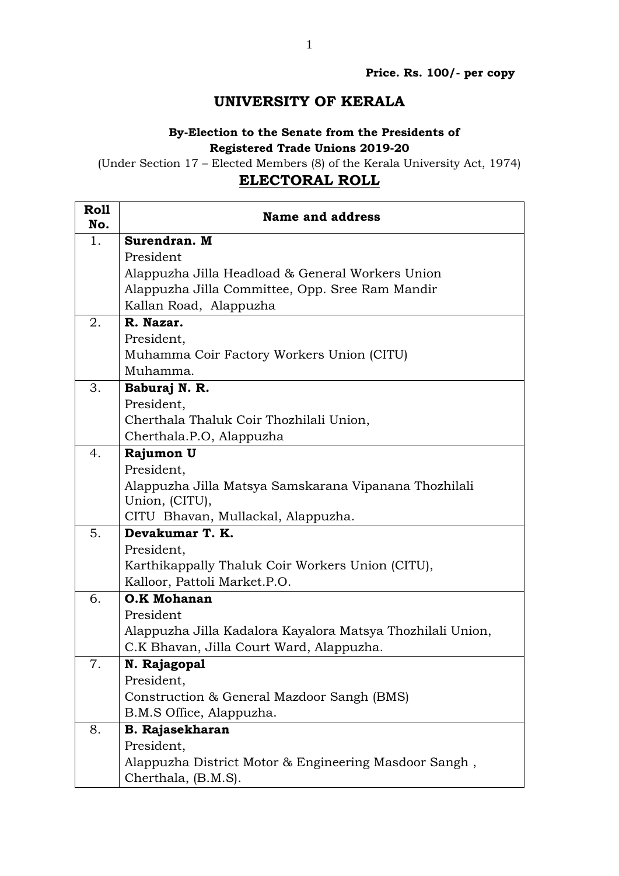## **UNIVERSITY OF KERALA**

## **By-Election to the Senate from the Presidents of Registered Trade Unions 2019-20**

(Under Section 17 – Elected Members (8) of the Kerala University Act, 1974)

## **ELECTORAL ROLL**

| <b>Roll</b><br>No. | <b>Name and address</b>                                    |
|--------------------|------------------------------------------------------------|
| 1.                 | Surendran. M                                               |
|                    | President                                                  |
|                    | Alappuzha Jilla Headload & General Workers Union           |
|                    | Alappuzha Jilla Committee, Opp. Sree Ram Mandir            |
|                    | Kallan Road, Alappuzha                                     |
| 2.                 | R. Nazar.                                                  |
|                    | President,                                                 |
|                    | Muhamma Coir Factory Workers Union (CITU)                  |
|                    | Muhamma.                                                   |
| 3.                 | Baburaj N. R.                                              |
|                    | President,                                                 |
|                    | Cherthala Thaluk Coir Thozhilali Union,                    |
|                    | Cherthala.P.O, Alappuzha                                   |
| 4.                 | Rajumon U                                                  |
|                    | President,                                                 |
|                    | Alappuzha Jilla Matsya Samskarana Vipanana Thozhilali      |
|                    | Union, (CITU),                                             |
| 5.                 | CITU Bhavan, Mullackal, Alappuzha.<br>Devakumar T. K.      |
|                    | President,                                                 |
|                    | Karthikappally Thaluk Coir Workers Union (CITU),           |
|                    | Kalloor, Pattoli Market.P.O.                               |
| 6.                 | <b>O.K Mohanan</b>                                         |
|                    | President                                                  |
|                    | Alappuzha Jilla Kadalora Kayalora Matsya Thozhilali Union, |
|                    | C.K Bhavan, Jilla Court Ward, Alappuzha.                   |
| 7.                 | N. Rajagopal                                               |
|                    | President,                                                 |
|                    | Construction & General Mazdoor Sangh (BMS)                 |
|                    | B.M.S Office, Alappuzha.                                   |
| 8.                 | <b>B. Rajasekharan</b>                                     |
|                    | President,                                                 |
|                    | Alappuzha District Motor & Engineering Masdoor Sangh,      |
|                    | Cherthala, (B.M.S).                                        |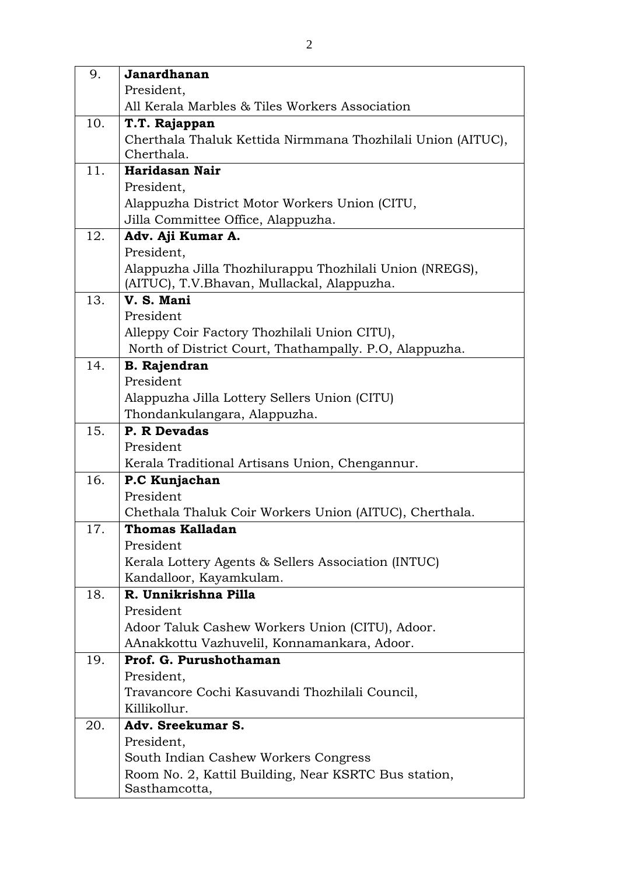| 9.  | Janardhanan                                                 |
|-----|-------------------------------------------------------------|
|     | President,                                                  |
|     | All Kerala Marbles & Tiles Workers Association              |
| 10. | T.T. Rajappan                                               |
|     | Cherthala Thaluk Kettida Nirmmana Thozhilali Union (AITUC), |
|     | Cherthala.                                                  |
| 11. | Haridasan Nair                                              |
|     | President,                                                  |
|     | Alappuzha District Motor Workers Union (CITU,               |
| 12. | Jilla Committee Office, Alappuzha.                          |
|     | Adv. Aji Kumar A.<br>President,                             |
|     | Alappuzha Jilla Thozhilurappu Thozhilali Union (NREGS),     |
|     | (AITUC), T.V.Bhavan, Mullackal, Alappuzha.                  |
| 13. | V.S. Mani                                                   |
|     | President                                                   |
|     | Alleppy Coir Factory Thozhilali Union CITU),                |
|     | North of District Court, Thathampally. P.O., Alappuzha.     |
| 14. | <b>B.</b> Rajendran                                         |
|     | President                                                   |
|     | Alappuzha Jilla Lottery Sellers Union (CITU)                |
|     | Thondankulangara, Alappuzha.                                |
| 15. | P. R Devadas                                                |
|     | President                                                   |
|     | Kerala Traditional Artisans Union, Chengannur.              |
| 16. | P.C Kunjachan                                               |
|     | President                                                   |
|     | Chethala Thaluk Coir Workers Union (AITUC), Cherthala.      |
| 17. | Thomas Kalladan<br>President                                |
|     | Kerala Lottery Agents & Sellers Association (INTUC)         |
|     | Kandalloor, Kayamkulam.                                     |
| 18. | R. Unnikrishna Pilla                                        |
|     | President                                                   |
|     | Adoor Taluk Cashew Workers Union (CITU), Adoor.             |
|     | AAnakkottu Vazhuvelil, Konnamankara, Adoor.                 |
| 19. | Prof. G. Purushothaman                                      |
|     | President,                                                  |
|     | Travancore Cochi Kasuvandi Thozhilali Council,              |
|     | Killikollur.                                                |
| 20. | Adv. Sreekumar S.                                           |
|     | President,                                                  |
|     | South Indian Cashew Workers Congress                        |
|     | Room No. 2, Kattil Building, Near KSRTC Bus station,        |
|     | Sasthamcotta,                                               |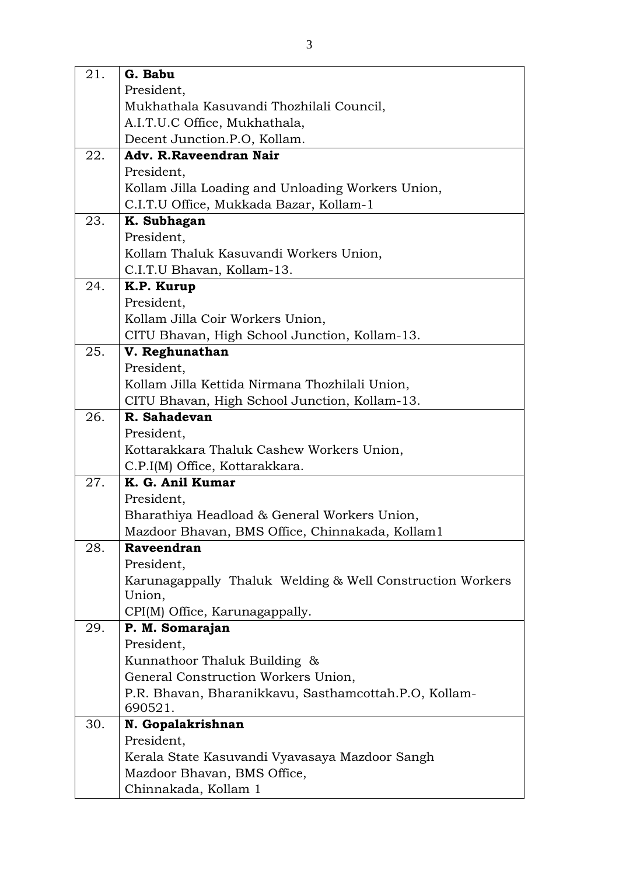| 21. | G. Babu                                                          |
|-----|------------------------------------------------------------------|
|     | President,                                                       |
|     | Mukhathala Kasuvandi Thozhilali Council,                         |
|     | A.I.T.U.C Office, Mukhathala,                                    |
|     | Decent Junction.P.O, Kollam.                                     |
| 22. | Adv. R.Raveendran Nair                                           |
|     | President,                                                       |
|     | Kollam Jilla Loading and Unloading Workers Union,                |
|     | C.I.T.U Office, Mukkada Bazar, Kollam-1                          |
| 23. | K. Subhagan                                                      |
|     | President,                                                       |
|     | Kollam Thaluk Kasuvandi Workers Union,                           |
|     | C.I.T.U Bhavan, Kollam-13.                                       |
| 24. | K.P. Kurup                                                       |
|     | President,                                                       |
|     | Kollam Jilla Coir Workers Union,                                 |
|     | CITU Bhavan, High School Junction, Kollam-13.                    |
| 25. | V. Reghunathan                                                   |
|     | President,                                                       |
|     | Kollam Jilla Kettida Nirmana Thozhilali Union,                   |
|     | CITU Bhavan, High School Junction, Kollam-13.                    |
| 26. | R. Sahadevan                                                     |
|     | President,                                                       |
|     | Kottarakkara Thaluk Cashew Workers Union,                        |
|     | C.P.I(M) Office, Kottarakkara.                                   |
| 27. | K. G. Anil Kumar                                                 |
|     | President,                                                       |
|     | Bharathiya Headload & General Workers Union,                     |
|     | Mazdoor Bhavan, BMS Office, Chinnakada, Kollam1                  |
| 28. | Raveendran                                                       |
|     | President,                                                       |
|     | Karunagappally Thaluk Welding & Well Construction Workers        |
|     | Union,                                                           |
|     | CPI(M) Office, Karunagappally.                                   |
| 29. | P. M. Somarajan                                                  |
|     | President,                                                       |
|     | Kunnathoor Thaluk Building &                                     |
|     | General Construction Workers Union,                              |
|     | P.R. Bhavan, Bharanikkavu, Sasthamcottah.P.O, Kollam-<br>690521. |
| 30. | N. Gopalakrishnan                                                |
|     | President,                                                       |
|     | Kerala State Kasuvandi Vyavasaya Mazdoor Sangh                   |
|     | Mazdoor Bhavan, BMS Office,                                      |
|     | Chinnakada, Kollam 1                                             |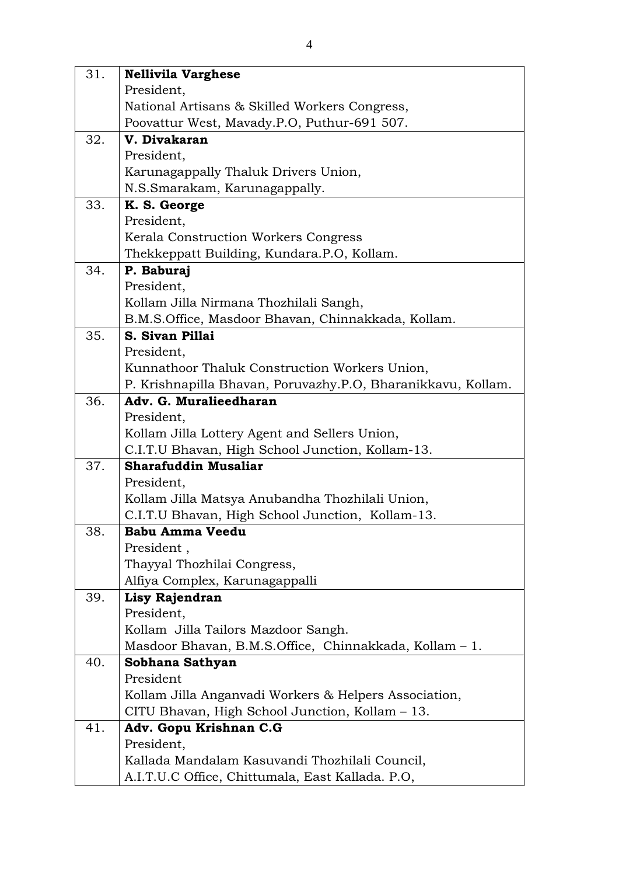| 31. | <b>Nellivila Varghese</b>                                    |
|-----|--------------------------------------------------------------|
|     | President,                                                   |
|     | National Artisans & Skilled Workers Congress,                |
|     | Poovattur West, Mavady.P.O, Puthur-691 507.                  |
| 32. | V. Divakaran                                                 |
|     | President,                                                   |
|     | Karunagappally Thaluk Drivers Union,                         |
|     | N.S.Smarakam, Karunagappally.                                |
| 33. | K. S. George                                                 |
|     | President,                                                   |
|     | Kerala Construction Workers Congress                         |
|     | Thekkeppatt Building, Kundara.P.O, Kollam.                   |
| 34. | P. Baburaj                                                   |
|     | President,                                                   |
|     | Kollam Jilla Nirmana Thozhilali Sangh,                       |
|     | B.M.S.Office, Masdoor Bhavan, Chinnakkada, Kollam.           |
| 35. | S. Sivan Pillai                                              |
|     | President,                                                   |
|     | Kunnathoor Thaluk Construction Workers Union,                |
|     | P. Krishnapilla Bhavan, Poruvazhy.P.O, Bharanikkavu, Kollam. |
| 36. | Adv. G. Muralieedharan                                       |
|     | President,                                                   |
|     | Kollam Jilla Lottery Agent and Sellers Union,                |
|     | C.I.T.U Bhavan, High School Junction, Kollam-13.             |
| 37. | <b>Sharafuddin Musaliar</b>                                  |
|     | President,                                                   |
|     | Kollam Jilla Matsya Anubandha Thozhilali Union,              |
|     | C.I.T.U Bhavan, High School Junction, Kollam-13.             |
| 38. | <b>Babu Amma Veedu</b>                                       |
|     | President,                                                   |
|     | Thayyal Thozhilai Congress,                                  |
|     | Alfiya Complex, Karunagappalli                               |
| 39. | Lisy Rajendran                                               |
|     | President,                                                   |
|     | Kollam Jilla Tailors Mazdoor Sangh.                          |
|     | Masdoor Bhavan, B.M.S.Office, Chinnakkada, Kollam - 1.       |
| 40. | Sobhana Sathyan                                              |
|     | President                                                    |
|     | Kollam Jilla Anganvadi Workers & Helpers Association,        |
|     | CITU Bhavan, High School Junction, Kollam - 13.              |
| 41. | Adv. Gopu Krishnan C.G                                       |
|     | President,                                                   |
|     | Kallada Mandalam Kasuvandi Thozhilali Council,               |
|     | A.I.T.U.C Office, Chittumala, East Kallada. P.O,             |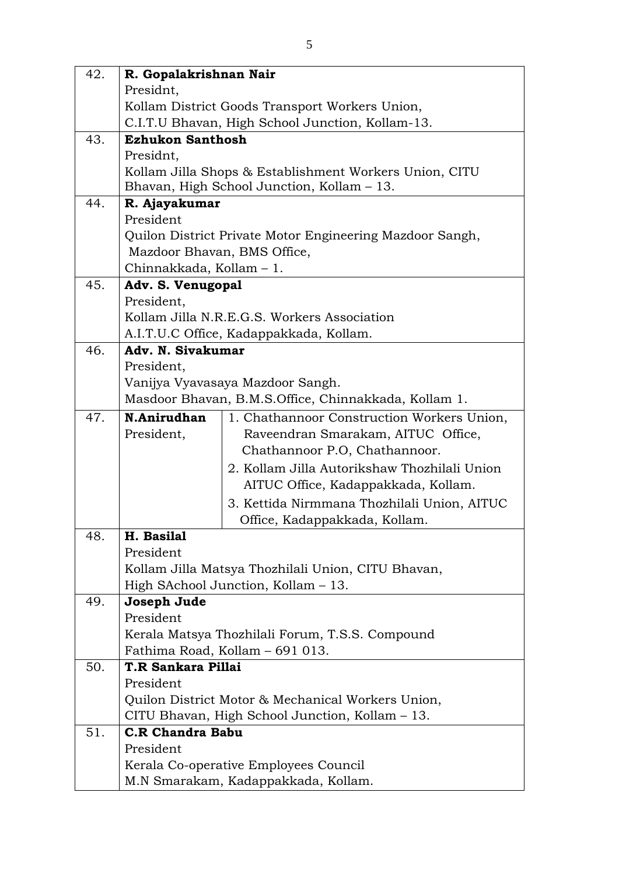| 42. | R. Gopalakrishnan Nair          |                                                                                          |
|-----|---------------------------------|------------------------------------------------------------------------------------------|
|     | Presidnt,                       |                                                                                          |
|     |                                 | Kollam District Goods Transport Workers Union,                                           |
|     |                                 | C.I.T.U Bhavan, High School Junction, Kollam-13.                                         |
| 43. | <b>Ezhukon Santhosh</b>         |                                                                                          |
|     | Presidnt,                       |                                                                                          |
|     |                                 | Kollam Jilla Shops & Establishment Workers Union, CITU                                   |
|     |                                 | Bhavan, High School Junction, Kollam - 13.                                               |
| 44. | R. Ajayakumar                   |                                                                                          |
|     | President                       |                                                                                          |
|     |                                 | Quilon District Private Motor Engineering Mazdoor Sangh,                                 |
|     | Mazdoor Bhavan, BMS Office,     |                                                                                          |
|     | Chinnakkada, Kollam - 1.        |                                                                                          |
| 45. | Adv. S. Venugopal               |                                                                                          |
|     | President,                      |                                                                                          |
|     |                                 | Kollam Jilla N.R.E.G.S. Workers Association                                              |
| 46. |                                 | A.I.T.U.C Office, Kadappakkada, Kollam.                                                  |
|     | Adv. N. Sivakumar<br>President, |                                                                                          |
|     |                                 |                                                                                          |
|     |                                 | Vanijya Vyavasaya Mazdoor Sangh.<br>Masdoor Bhavan, B.M.S.Office, Chinnakkada, Kollam 1. |
|     |                                 |                                                                                          |
| 47. | N.Anirudhan                     | 1. Chathannoor Construction Workers Union,                                               |
|     | President,                      | Raveendran Smarakam, AITUC Office,                                                       |
|     |                                 | Chathannoor P.O, Chathannoor.                                                            |
|     |                                 | 2. Kollam Jilla Autorikshaw Thozhilali Union                                             |
|     |                                 | AITUC Office, Kadappakkada, Kollam.                                                      |
|     |                                 | 3. Kettida Nirmmana Thozhilali Union, AITUC                                              |
| 48. | H. Basilal                      | Office, Kadappakkada, Kollam.                                                            |
|     | President                       |                                                                                          |
|     |                                 | Kollam Jilla Matsya Thozhilali Union, CITU Bhavan,                                       |
|     |                                 | High SAchool Junction, Kollam - 13.                                                      |
| 49. | Joseph Jude                     |                                                                                          |
|     | President                       |                                                                                          |
|     |                                 | Kerala Matsya Thozhilali Forum, T.S.S. Compound                                          |
|     |                                 | Fathima Road, Kollam - 691 013.                                                          |
| 50. | T.R Sankara Pillai              |                                                                                          |
|     | President                       |                                                                                          |
|     |                                 | Quilon District Motor & Mechanical Workers Union,                                        |
|     |                                 | CITU Bhavan, High School Junction, Kollam - 13.                                          |
| 51. | <b>C.R Chandra Babu</b>         |                                                                                          |
|     | President                       |                                                                                          |
|     |                                 | Kerala Co-operative Employees Council                                                    |
|     |                                 | M.N Smarakam, Kadappakkada, Kollam.                                                      |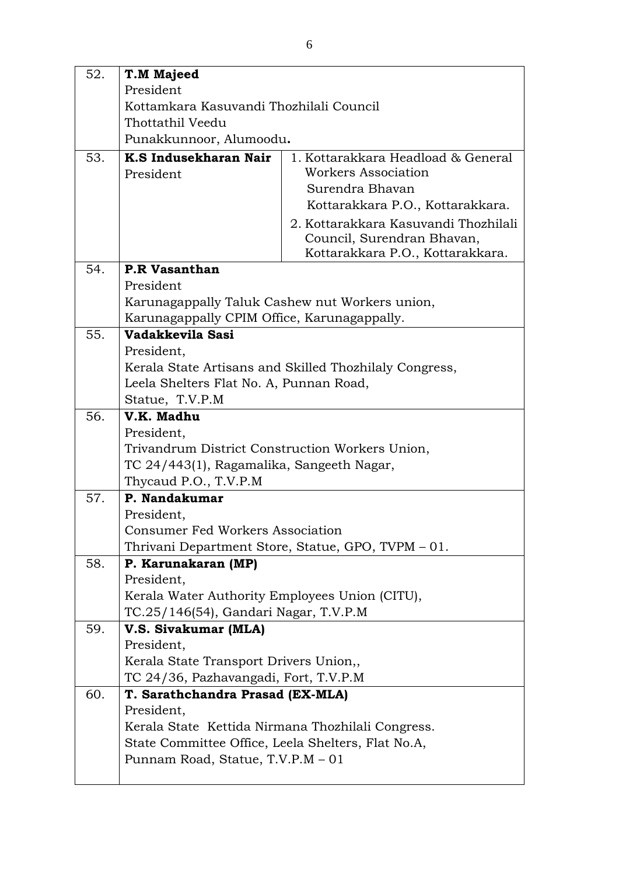| 52. | T.M Majeed                                         |                                                                                                        |
|-----|----------------------------------------------------|--------------------------------------------------------------------------------------------------------|
|     | President                                          |                                                                                                        |
|     | Kottamkara Kasuvandi Thozhilali Council            |                                                                                                        |
|     | Thottathil Veedu                                   |                                                                                                        |
|     | Punakkunnoor, Alumoodu.                            |                                                                                                        |
| 53. | K.S Indusekharan Nair<br>President                 | 1. Kottarakkara Headload & General<br>Workers Association<br>Surendra Bhavan                           |
|     |                                                    | Kottarakkara P.O., Kottarakkara.                                                                       |
|     |                                                    | 2. Kottarakkara Kasuvandi Thozhilali<br>Council, Surendran Bhavan,<br>Kottarakkara P.O., Kottarakkara. |
| 54. | <b>P.R Vasanthan</b>                               |                                                                                                        |
|     | President                                          |                                                                                                        |
|     | Karunagappally Taluk Cashew nut Workers union,     |                                                                                                        |
|     | Karunagappally CPIM Office, Karunagappally.        |                                                                                                        |
| 55. | Vadakkevila Sasi                                   |                                                                                                        |
|     | President,                                         |                                                                                                        |
|     |                                                    | Kerala State Artisans and Skilled Thozhilaly Congress,                                                 |
|     | Leela Shelters Flat No. A, Punnan Road,            |                                                                                                        |
|     | Statue, T.V.P.M                                    |                                                                                                        |
| 56. | V.K. Madhu                                         |                                                                                                        |
|     | President,                                         |                                                                                                        |
|     | Trivandrum District Construction Workers Union,    |                                                                                                        |
|     | TC 24/443(1), Ragamalika, Sangeeth Nagar,          |                                                                                                        |
|     | Thycaud P.O., T.V.P.M                              |                                                                                                        |
| 57. | P. Nandakumar                                      |                                                                                                        |
|     | President,                                         |                                                                                                        |
|     | Consumer Fed Workers Association                   |                                                                                                        |
| 58. |                                                    | Thrivani Department Store, Statue, GPO, TVPM – 01.                                                     |
|     | P. Karunakaran (MP)<br>President,                  |                                                                                                        |
|     | Kerala Water Authority Employees Union (CITU),     |                                                                                                        |
|     | TC.25/146(54), Gandari Nagar, T.V.P.M              |                                                                                                        |
| 59. | V.S. Sivakumar (MLA)                               |                                                                                                        |
|     | President,                                         |                                                                                                        |
|     | Kerala State Transport Drivers Union,              |                                                                                                        |
|     | TC 24/36, Pazhavangadi, Fort, T.V.P.M              |                                                                                                        |
| 60. | T. Sarathchandra Prasad (EX-MLA)                   |                                                                                                        |
|     | President,                                         |                                                                                                        |
|     | Kerala State Kettida Nirmana Thozhilali Congress.  |                                                                                                        |
|     | State Committee Office, Leela Shelters, Flat No.A, |                                                                                                        |
|     | Punnam Road, Statue, T.V.P.M - 01                  |                                                                                                        |
|     |                                                    |                                                                                                        |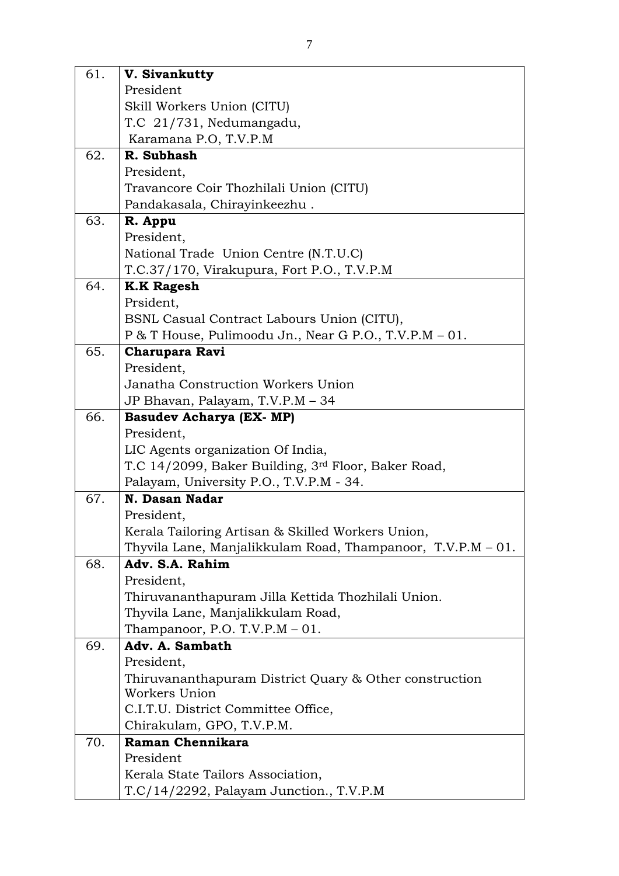| 61. | V. Sivankutty                                                                  |
|-----|--------------------------------------------------------------------------------|
|     | President                                                                      |
|     | Skill Workers Union (CITU)                                                     |
|     | T.C 21/731, Nedumangadu,                                                       |
|     | Karamana P.O, T.V.P.M                                                          |
| 62. | R. Subhash                                                                     |
|     | President,                                                                     |
|     | Travancore Coir Thozhilali Union (CITU)                                        |
|     | Pandakasala, Chirayinkeezhu.                                                   |
| 63. | R. Appu                                                                        |
|     | President,                                                                     |
|     | National Trade Union Centre (N.T.U.C)                                          |
|     | T.C.37/170, Virakupura, Fort P.O., T.V.P.M                                     |
| 64. | <b>K.K Ragesh</b>                                                              |
|     | Prsident,                                                                      |
|     | BSNL Casual Contract Labours Union (CITU),                                     |
|     | P & T House, Pulimoodu Jn., Near G P.O., T.V.P.M - 01.                         |
| 65. | <b>Charupara Ravi</b>                                                          |
|     | President,                                                                     |
|     | Janatha Construction Workers Union                                             |
|     | JP Bhavan, Palayam, T.V.P.M - 34                                               |
| 66. | <b>Basudev Acharya (EX- MP)</b>                                                |
|     | President,                                                                     |
|     | LIC Agents organization Of India,                                              |
|     | T.C 14/2099, Baker Building, 3rd Floor, Baker Road,                            |
|     | Palayam, University P.O., T.V.P.M - 34.                                        |
| 67. | N. Dasan Nadar                                                                 |
|     | President,                                                                     |
|     | Kerala Tailoring Artisan & Skilled Workers Union,                              |
| 68. | Thyvila Lane, Manjalikkulam Road, Thampanoor, T.V.P.M – 01.<br>Adv. S.A. Rahim |
|     | President,                                                                     |
|     | Thiruvananthapuram Jilla Kettida Thozhilali Union.                             |
|     | Thyvila Lane, Manjalikkulam Road,                                              |
|     | Thampanoor, P.O. T.V.P.M $-01$ .                                               |
| 69. | Adv. A. Sambath                                                                |
|     | President,                                                                     |
|     | Thiruvananthapuram District Quary & Other construction                         |
|     | Workers Union                                                                  |
|     | C.I.T.U. District Committee Office,                                            |
|     | Chirakulam, GPO, T.V.P.M.                                                      |
| 70. | Raman Chennikara                                                               |
|     | President                                                                      |
|     | Kerala State Tailors Association,                                              |
|     | T.C/14/2292, Palayam Junction., T.V.P.M                                        |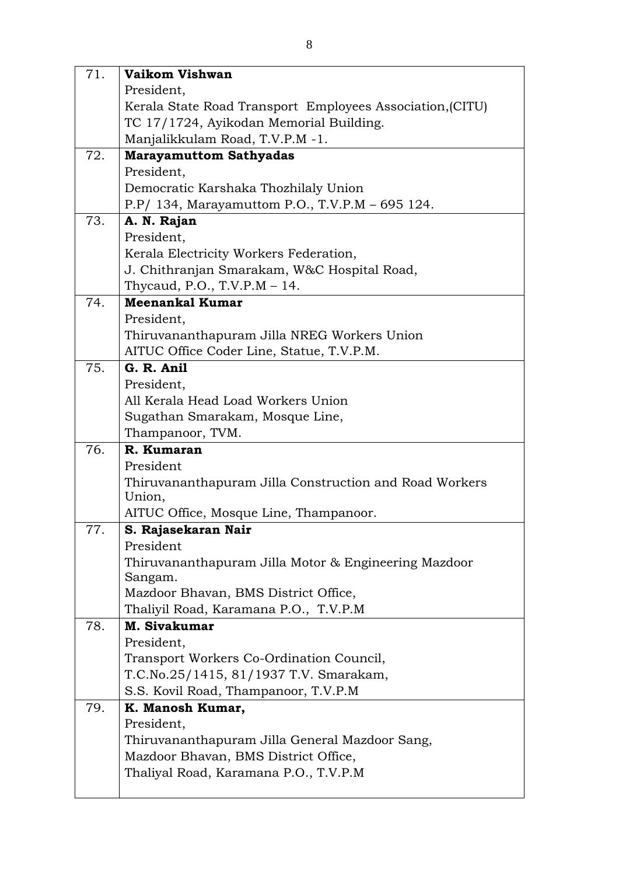| 71. | Vaikom Vishwan                                            |
|-----|-----------------------------------------------------------|
|     | President,                                                |
|     | Kerala State Road Transport Employees Association, (CITU) |
|     | TC 17/1724, Ayikodan Memorial Building.                   |
|     | Manjalikkulam Road, T.V.P.M -1.                           |
| 72. | <b>Marayamuttom Sathyadas</b>                             |
|     | President,                                                |
|     | Democratic Karshaka Thozhilaly Union                      |
|     | P.P/ 134, Marayamuttom P.O., T.V.P.M - 695 124.           |
| 73. | A. N. Rajan                                               |
|     | President,                                                |
|     | Kerala Electricity Workers Federation,                    |
|     | J. Chithranjan Smarakam, W&C Hospital Road,               |
|     | Thycaud, P.O., T.V.P.M $-14$ .                            |
| 74. | <b>Meenankal Kumar</b>                                    |
|     | President,<br>Thiruvananthapuram Jilla NREG Workers Union |
|     | AITUC Office Coder Line, Statue, T.V.P.M.                 |
| 75. | G. R. Anil                                                |
|     | President,                                                |
|     | All Kerala Head Load Workers Union                        |
|     | Sugathan Smarakam, Mosque Line,                           |
|     | Thampanoor, TVM.                                          |
| 76. | R. Kumaran                                                |
|     | President                                                 |
|     | Thiruvananthapuram Jilla Construction and Road Workers    |
|     | Union,                                                    |
|     | AITUC Office, Mosque Line, Thampanoor.                    |
| 77. | S. Rajasekaran Nair                                       |
|     | President                                                 |
|     | Thiruvananthapuram Jilla Motor & Engineering Mazdoor      |
|     | Sangam.<br>Mazdoor Bhavan, BMS District Office,           |
|     | Thalivil Road, Karamana P.O., T.V.P.M                     |
| 78. | M. Sivakumar                                              |
|     | President,                                                |
|     | Transport Workers Co-Ordination Council,                  |
|     | T.C.No.25/1415, 81/1937 T.V. Smarakam,                    |
|     | S.S. Kovil Road, Thampanoor, T.V.P.M                      |
| 79. | K. Manosh Kumar,                                          |
|     | President,                                                |
|     | Thiruvananthapuram Jilla General Mazdoor Sang,            |
|     | Mazdoor Bhavan, BMS District Office,                      |
|     | Thaliyal Road, Karamana P.O., T.V.P.M                     |
|     |                                                           |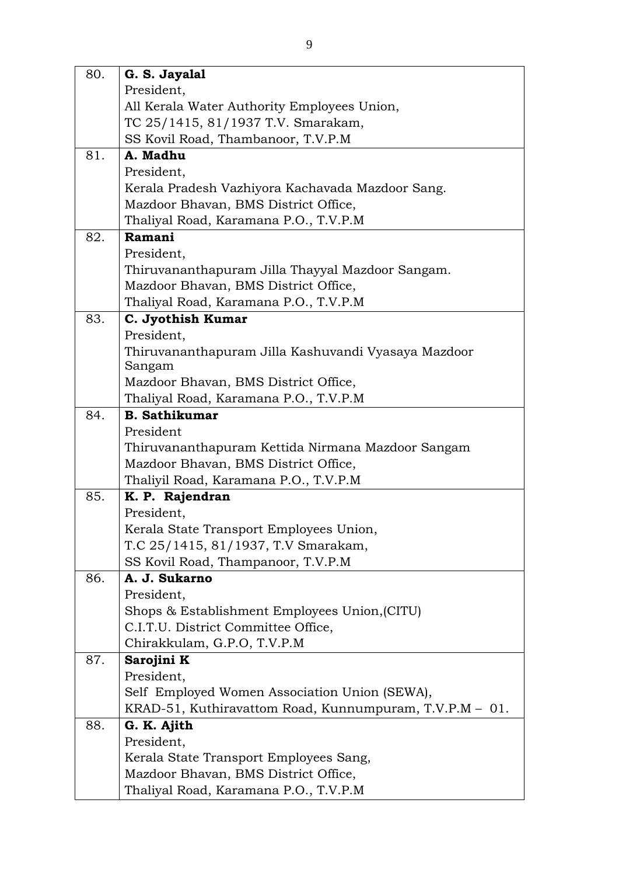| 80. | G. S. Jayalal                                           |
|-----|---------------------------------------------------------|
|     | President,                                              |
|     | All Kerala Water Authority Employees Union,             |
|     | TC 25/1415, 81/1937 T.V. Smarakam,                      |
|     | SS Kovil Road, Thambanoor, T.V.P.M                      |
| 81. | A. Madhu                                                |
|     | President,                                              |
|     | Kerala Pradesh Vazhiyora Kachavada Mazdoor Sang.        |
|     | Mazdoor Bhavan, BMS District Office,                    |
|     | Thaliyal Road, Karamana P.O., T.V.P.M                   |
| 82. | Ramani                                                  |
|     | President,                                              |
|     | Thiruvananthapuram Jilla Thayyal Mazdoor Sangam.        |
|     | Mazdoor Bhavan, BMS District Office,                    |
|     | Thaliyal Road, Karamana P.O., T.V.P.M                   |
| 83. | C. Jyothish Kumar                                       |
|     | President,                                              |
|     | Thiruvananthapuram Jilla Kashuvandi Vyasaya Mazdoor     |
|     | Sangam                                                  |
|     | Mazdoor Bhavan, BMS District Office,                    |
|     | Thaliyal Road, Karamana P.O., T.V.P.M                   |
| 84. | <b>B.</b> Sathikumar                                    |
|     | President                                               |
|     | Thiruvananthapuram Kettida Nirmana Mazdoor Sangam       |
|     | Mazdoor Bhavan, BMS District Office,                    |
|     | Thaliyil Road, Karamana P.O., T.V.P.M                   |
| 85. | K. P. Rajendran                                         |
|     | President.                                              |
|     | Kerala State Transport Employees Union                  |
|     | T.C 25/1415, 81/1937, T.V Smarakam,                     |
|     | SS Kovil Road, Thampanoor, T.V.P.M                      |
| 86. | A. J. Sukarno                                           |
|     | President,                                              |
|     | Shops & Establishment Employees Union, (CITU)           |
|     | C.I.T.U. District Committee Office,                     |
|     | Chirakkulam, G.P.O, T.V.P.M                             |
| 87. | Sarojini K                                              |
|     | President,                                              |
|     | Self Employed Women Association Union (SEWA),           |
|     | KRAD-51, Kuthiravattom Road, Kunnumpuram, T.V.P.M - 01. |
| 88. | G. K. Ajith                                             |
|     | President,                                              |
|     | Kerala State Transport Employees Sang,                  |
|     | Mazdoor Bhavan, BMS District Office,                    |
|     | Thaliyal Road, Karamana P.O., T.V.P.M                   |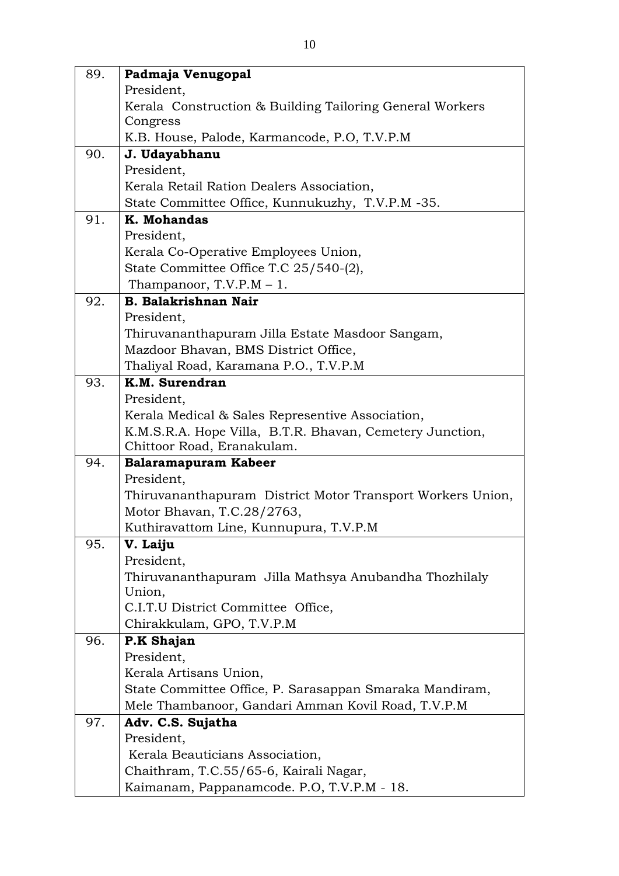| 89. | Padmaja Venugopal                                                                        |
|-----|------------------------------------------------------------------------------------------|
|     | President,                                                                               |
|     | Kerala Construction & Building Tailoring General Workers                                 |
|     | Congress                                                                                 |
|     | K.B. House, Palode, Karmancode, P.O., T.V.P.M                                            |
| 90. | J. Udayabhanu                                                                            |
|     | President,                                                                               |
|     | Kerala Retail Ration Dealers Association,                                                |
|     | State Committee Office, Kunnukuzhy, T.V.P.M -35.                                         |
| 91. | K. Mohandas                                                                              |
|     | President,                                                                               |
|     | Kerala Co-Operative Employees Union,                                                     |
|     | State Committee Office T.C 25/540-(2),                                                   |
|     | Thampanoor, $T.V.P.M - 1$ .                                                              |
| 92. | <b>B. Balakrishnan Nair</b>                                                              |
|     | President,                                                                               |
|     | Thiruvananthapuram Jilla Estate Masdoor Sangam,                                          |
|     | Mazdoor Bhavan, BMS District Office,                                                     |
|     | Thaliyal Road, Karamana P.O., T.V.P.M                                                    |
| 93. | K.M. Surendran                                                                           |
|     | President,                                                                               |
|     | Kerala Medical & Sales Representive Association,                                         |
|     | K.M.S.R.A. Hope Villa, B.T.R. Bhavan, Cemetery Junction,                                 |
| 94. | Chittoor Road, Eranakulam.                                                               |
|     | Balaramapuram Kabeer<br>President,                                                       |
|     |                                                                                          |
|     | Thiruvananthapuram District Motor Transport Workers Union,<br>Motor Bhavan, T.C.28/2763, |
|     | Kuthiravattom Line, Kunnupura, T.V.P.M                                                   |
| 95. | V. Laiju                                                                                 |
|     | President,                                                                               |
|     | Thiruvananthapuram Jilla Mathsya Anubandha Thozhilaly                                    |
|     | Union,                                                                                   |
|     | C.I.T.U District Committee Office,                                                       |
|     | Chirakkulam, GPO, T.V.P.M                                                                |
| 96. | P.K Shajan                                                                               |
|     | President,                                                                               |
|     | Kerala Artisans Union,                                                                   |
|     | State Committee Office, P. Sarasappan Smaraka Mandiram,                                  |
|     | Mele Thambanoor, Gandari Amman Kovil Road, T.V.P.M                                       |
| 97. | Adv. C.S. Sujatha                                                                        |
|     | President,                                                                               |
|     | Kerala Beauticians Association,                                                          |
|     | Chaithram, T.C.55/65-6, Kairali Nagar,                                                   |
|     | Kaimanam, Pappanamcode. P.O, T.V.P.M - 18.                                               |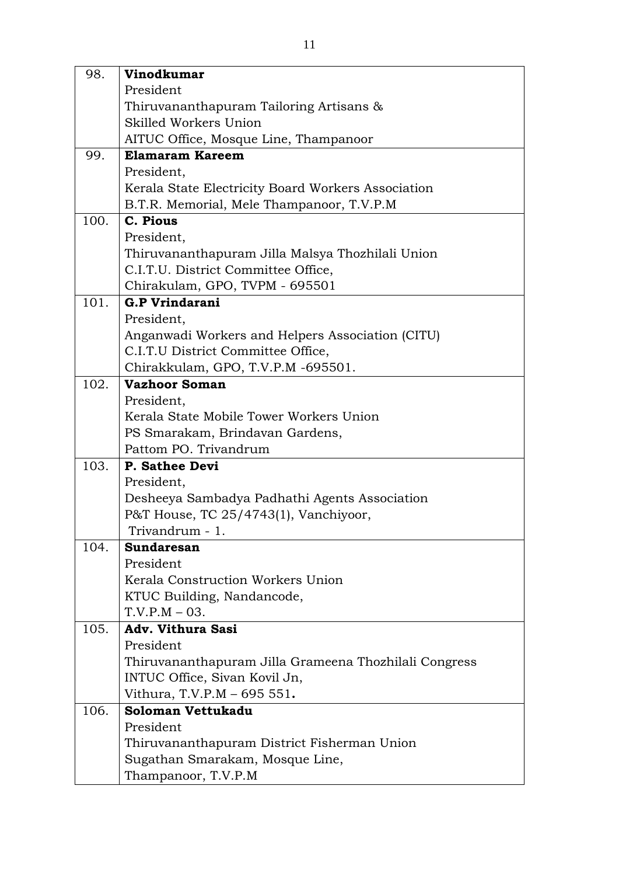| 98.  | <b>Vinodkumar</b>                                                                      |
|------|----------------------------------------------------------------------------------------|
|      | President                                                                              |
|      | Thiruvananthapuram Tailoring Artisans &                                                |
|      | Skilled Workers Union                                                                  |
|      | AITUC Office, Mosque Line, Thampanoor                                                  |
| 99.  | <b>Elamaram Kareem</b>                                                                 |
|      | President,                                                                             |
|      | Kerala State Electricity Board Workers Association                                     |
|      | B.T.R. Memorial, Mele Thampanoor, T.V.P.M                                              |
| 100. | C. Pious                                                                               |
|      | President,                                                                             |
|      | Thiruvananthapuram Jilla Malsya Thozhilali Union                                       |
|      | C.I.T.U. District Committee Office,                                                    |
|      | Chirakulam, GPO, TVPM - 695501                                                         |
| 101. | <b>G.P Vrindarani</b>                                                                  |
|      | President,                                                                             |
|      | Anganwadi Workers and Helpers Association (CITU)                                       |
|      | C.I.T.U District Committee Office,                                                     |
|      | Chirakkulam, GPO, T.V.P.M -695501.                                                     |
| 102. | <b>Vazhoor Soman</b>                                                                   |
|      | President,                                                                             |
|      | Kerala State Mobile Tower Workers Union                                                |
|      | PS Smarakam, Brindavan Gardens,                                                        |
|      | Pattom PO. Trivandrum                                                                  |
| 103. | P. Sathee Devi                                                                         |
|      | President,                                                                             |
|      | Desheeya Sambadya Padhathi Agents Association<br>P&T House, TC 25/4743(1), Vanchiyoor, |
|      | Trivandrum - 1.                                                                        |
| 104. | Sundaresan                                                                             |
|      | President                                                                              |
|      | Kerala Construction Workers Union                                                      |
|      | KTUC Building, Nandancode,                                                             |
|      | $T.V.P.M - 03.$                                                                        |
| 105. | <b>Adv. Vithura Sasi</b>                                                               |
|      | President                                                                              |
|      | Thiruvananthapuram Jilla Grameena Thozhilali Congress                                  |
|      | INTUC Office, Sivan Kovil Jn,                                                          |
|      | Vithura, T.V.P.M - 695 551.                                                            |
| 106. | Soloman Vettukadu                                                                      |
|      | President                                                                              |
|      | Thiruvananthapuram District Fisherman Union                                            |
|      | Sugathan Smarakam, Mosque Line,                                                        |
|      | Thampanoor, T.V.P.M                                                                    |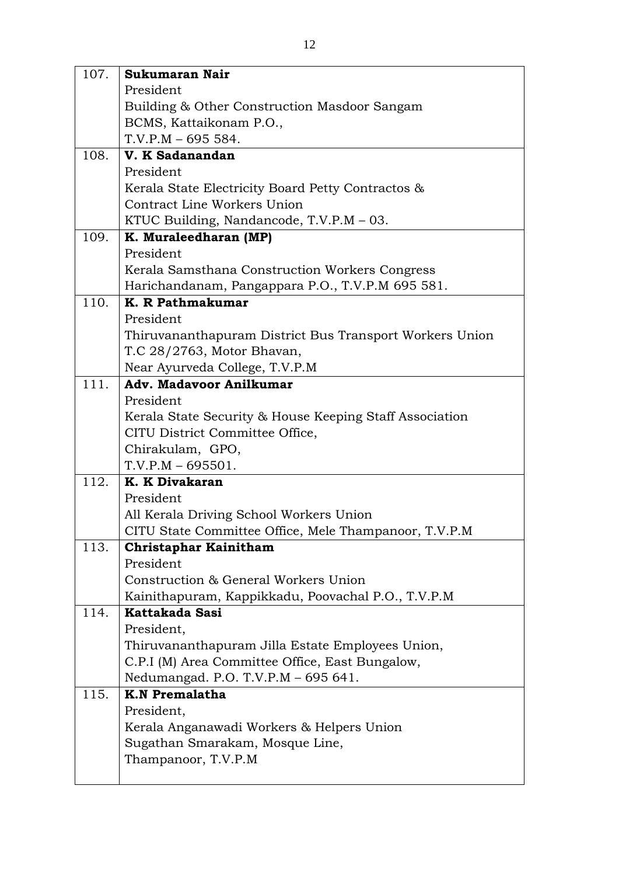| 107. | Sukumaran Nair                                          |
|------|---------------------------------------------------------|
|      | President                                               |
|      | Building & Other Construction Masdoor Sangam            |
|      | BCMS, Kattaikonam P.O.,                                 |
|      | $T.V.P.M - 695554.$                                     |
| 108. | V. K Sadanandan                                         |
|      | President                                               |
|      | Kerala State Electricity Board Petty Contractos &       |
|      | Contract Line Workers Union                             |
|      | KTUC Building, Nandancode, T.V.P.M $-$ 03.              |
| 109. | K. Muraleedharan (MP)                                   |
|      | President                                               |
|      | Kerala Samsthana Construction Workers Congress          |
|      | Harichandanam, Pangappara P.O., T.V.P.M 695 581.        |
| 110. | K. R Pathmakumar                                        |
|      | President                                               |
|      | Thiruvananthapuram District Bus Transport Workers Union |
|      | T.C 28/2763, Motor Bhavan,                              |
|      | Near Ayurveda College, T.V.P.M                          |
| 111. | <b>Adv. Madavoor Anilkumar</b>                          |
|      | President                                               |
|      | Kerala State Security & House Keeping Staff Association |
|      | CITU District Committee Office,                         |
|      | Chirakulam, GPO,                                        |
|      | $T.V.P.M - 695501.$                                     |
| 112. | K. K Divakaran                                          |
|      | President                                               |
|      | All Kerala Driving School Workers Union                 |
|      | CITU State Committee Office, Mele Thampanoor, T.V.P.M   |
| 113. | Christaphar Kainitham                                   |
|      | President                                               |
|      | Construction & General Workers Union                    |
|      | Kainithapuram, Kappikkadu, Poovachal P.O., T.V.P.M      |
| 114. | Kattakada Sasi                                          |
|      | President,                                              |
|      | Thiruvananthapuram Jilla Estate Employees Union,        |
|      | C.P.I (M) Area Committee Office, East Bungalow,         |
|      | Nedumangad. P.O. T.V.P.M - 695 641.                     |
| 115. | <b>K.N Premalatha</b>                                   |
|      | President,                                              |
|      | Kerala Anganawadi Workers & Helpers Union               |
|      | Sugathan Smarakam, Mosque Line,                         |
|      | Thampanoor, T.V.P.M                                     |
|      |                                                         |